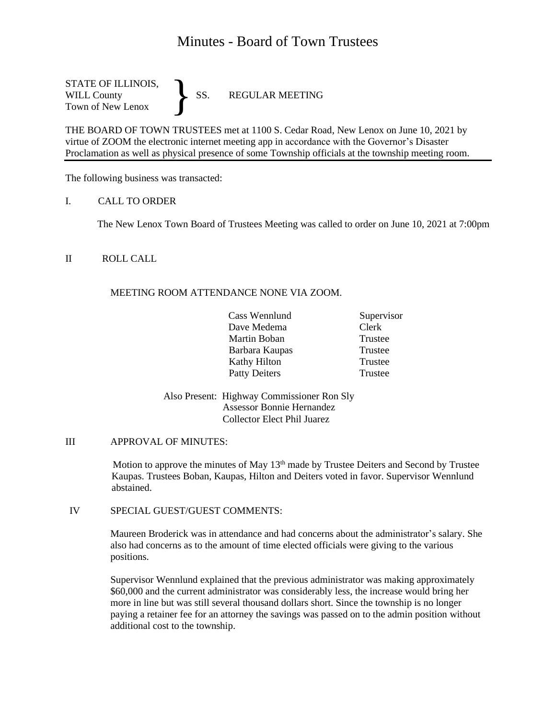# Minutes - Board of Town Trustees

STATE OF ILLINOIS, WILL County SS. REGULAR MEETING Town of New Lenox }

THE BOARD OF TOWN TRUSTEES met at 1100 S. Cedar Road, New Lenox on June 10, 2021 by virtue of ZOOM the electronic internet meeting app in accordance with the Governor's Disaster Proclamation as well as physical presence of some Township officials at the township meeting room.

The following business was transacted:

I. CALL TO ORDER

The New Lenox Town Board of Trustees Meeting was called to order on June 10, 2021 at 7:00pm

# II ROLL CALL

# MEETING ROOM ATTENDANCE NONE VIA ZOOM.

| Cass Wennlund        | Supervisor |
|----------------------|------------|
| Dave Medema          | Clerk      |
| Martin Boban         | Trustee    |
| Barbara Kaupas       | Trustee    |
| Kathy Hilton         | Trustee    |
| <b>Patty Deiters</b> | Trustee    |

Also Present: Highway Commissioner Ron Sly Assessor Bonnie Hernandez Collector Elect Phil Juarez

## III APPROVAL OF MINUTES:

Motion to approve the minutes of May 13<sup>th</sup> made by Trustee Deiters and Second by Trustee Kaupas. Trustees Boban, Kaupas, Hilton and Deiters voted in favor. Supervisor Wennlund abstained.

IV SPECIAL GUEST/GUEST COMMENTS:

Maureen Broderick was in attendance and had concerns about the administrator's salary. She also had concerns as to the amount of time elected officials were giving to the various positions.

Supervisor Wennlund explained that the previous administrator was making approximately \$60,000 and the current administrator was considerably less, the increase would bring her more in line but was still several thousand dollars short. Since the township is no longer paying a retainer fee for an attorney the savings was passed on to the admin position without additional cost to the township.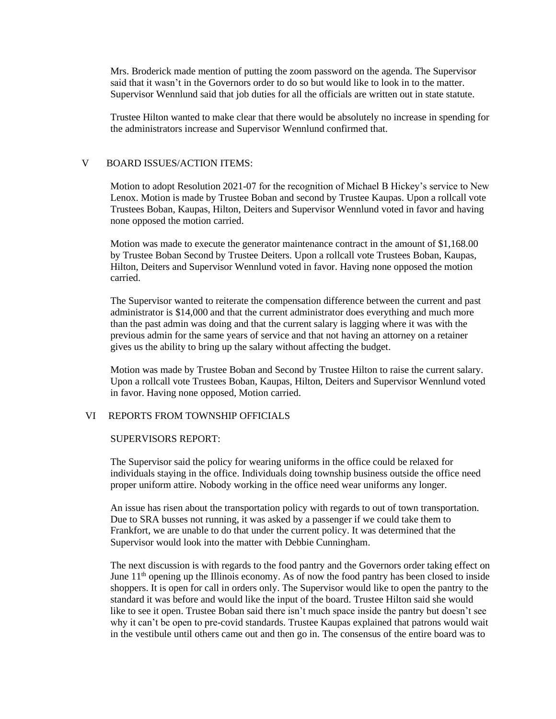Mrs. Broderick made mention of putting the zoom password on the agenda. The Supervisor said that it wasn't in the Governors order to do so but would like to look in to the matter. Supervisor Wennlund said that job duties for all the officials are written out in state statute.

Trustee Hilton wanted to make clear that there would be absolutely no increase in spending for the administrators increase and Supervisor Wennlund confirmed that.

## V BOARD ISSUES/ACTION ITEMS:

Motion to adopt Resolution 2021-07 for the recognition of Michael B Hickey's service to New Lenox. Motion is made by Trustee Boban and second by Trustee Kaupas. Upon a rollcall vote Trustees Boban, Kaupas, Hilton, Deiters and Supervisor Wennlund voted in favor and having none opposed the motion carried.

Motion was made to execute the generator maintenance contract in the amount of \$1,168.00 by Trustee Boban Second by Trustee Deiters. Upon a rollcall vote Trustees Boban, Kaupas, Hilton, Deiters and Supervisor Wennlund voted in favor. Having none opposed the motion carried.

The Supervisor wanted to reiterate the compensation difference between the current and past administrator is \$14,000 and that the current administrator does everything and much more than the past admin was doing and that the current salary is lagging where it was with the previous admin for the same years of service and that not having an attorney on a retainer gives us the ability to bring up the salary without affecting the budget.

Motion was made by Trustee Boban and Second by Trustee Hilton to raise the current salary. Upon a rollcall vote Trustees Boban, Kaupas, Hilton, Deiters and Supervisor Wennlund voted in favor. Having none opposed, Motion carried.

## VI REPORTS FROM TOWNSHIP OFFICIALS

#### SUPERVISORS REPORT:

The Supervisor said the policy for wearing uniforms in the office could be relaxed for individuals staying in the office. Individuals doing township business outside the office need proper uniform attire. Nobody working in the office need wear uniforms any longer.

An issue has risen about the transportation policy with regards to out of town transportation. Due to SRA busses not running, it was asked by a passenger if we could take them to Frankfort, we are unable to do that under the current policy. It was determined that the Supervisor would look into the matter with Debbie Cunningham.

The next discussion is with regards to the food pantry and the Governors order taking effect on June  $11<sup>th</sup>$  opening up the Illinois economy. As of now the food pantry has been closed to inside shoppers. It is open for call in orders only. The Supervisor would like to open the pantry to the standard it was before and would like the input of the board. Trustee Hilton said she would like to see it open. Trustee Boban said there isn't much space inside the pantry but doesn't see why it can't be open to pre-covid standards. Trustee Kaupas explained that patrons would wait in the vestibule until others came out and then go in. The consensus of the entire board was to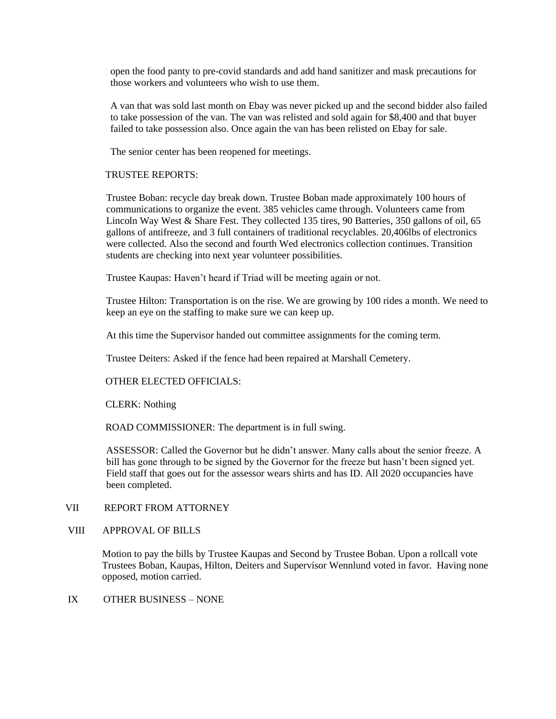open the food panty to pre-covid standards and add hand sanitizer and mask precautions for those workers and volunteers who wish to use them.

A van that was sold last month on Ebay was never picked up and the second bidder also failed to take possession of the van. The van was relisted and sold again for \$8,400 and that buyer failed to take possession also. Once again the van has been relisted on Ebay for sale.

The senior center has been reopened for meetings.

TRUSTEE REPORTS:

Trustee Boban: recycle day break down. Trustee Boban made approximately 100 hours of communications to organize the event. 385 vehicles came through. Volunteers came from Lincoln Way West & Share Fest. They collected 135 tires, 90 Batteries, 350 gallons of oil, 65 gallons of antifreeze, and 3 full containers of traditional recyclables. 20,406lbs of electronics were collected. Also the second and fourth Wed electronics collection continues. Transition students are checking into next year volunteer possibilities.

Trustee Kaupas: Haven't heard if Triad will be meeting again or not.

Trustee Hilton: Transportation is on the rise. We are growing by 100 rides a month. We need to keep an eye on the staffing to make sure we can keep up.

At this time the Supervisor handed out committee assignments for the coming term.

Trustee Deiters: Asked if the fence had been repaired at Marshall Cemetery.

OTHER ELECTED OFFICIALS:

CLERK: Nothing

ROAD COMMISSIONER: The department is in full swing.

ASSESSOR: Called the Governor but he didn't answer. Many calls about the senior freeze. A bill has gone through to be signed by the Governor for the freeze but hasn't been signed yet. Field staff that goes out for the assessor wears shirts and has ID. All 2020 occupancies have been completed.

# VII REPORT FROM ATTORNEY

VIII APPROVAL OF BILLS

Motion to pay the bills by Trustee Kaupas and Second by Trustee Boban. Upon a rollcall vote Trustees Boban, Kaupas, Hilton, Deiters and Supervisor Wennlund voted in favor. Having none opposed, motion carried.

## IX OTHER BUSINESS – NONE